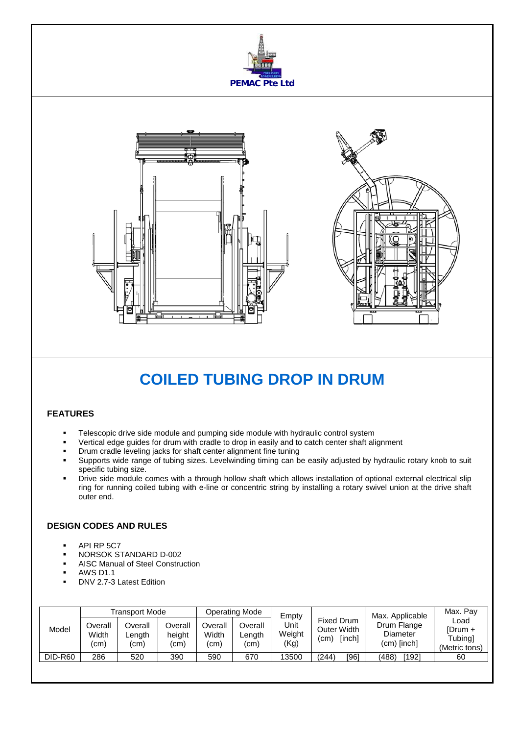



# **COILED TUBING DROP IN DRUM**

### **FEATURES**

- Telescopic drive side module and pumping side module with hydraulic control system
- Vertical edge guides for drum with cradle to drop in easily and to catch center shaft alignment
- Drum cradle leveling jacks for shaft center alignment fine tuning
- Supports wide range of tubing sizes. Levelwinding timing can be easily adjusted by hydraulic rotary knob to suit specific tubing size.
- Drive side module comes with a through hollow shaft which allows installation of optional external electrical slip ring for running coiled tubing with e-line or concentric string by installing a rotary swivel union at the drive shaft outer end.

## **DESIGN CODES AND RULES**

- API RP 5C7
- NORSOK STANDARD D-002
- AISC Manual of Steel Construction
- AWS D1.1
- DNV 2.7-3 Latest Edition

|                | Transport Mode           |                           |                           | <b>Operating Mode</b>    |                          | Empty                  |                                             | Max. Applicable                          | Max. Pay                                    |    |
|----------------|--------------------------|---------------------------|---------------------------|--------------------------|--------------------------|------------------------|---------------------------------------------|------------------------------------------|---------------------------------------------|----|
| Model          | Overall<br>Width<br>(cm) | Overall<br>Length<br>(cm) | Overall<br>height<br>(cm) | Overall<br>Width<br>(cm) | Overall<br>∟ength<br>(cm | Unit<br>Weight<br>(Kg) | Fixed Drum<br>Outer Width<br>[inch]<br>(cm) | Drum Flange<br>Diameter<br>$(cm)$ [inch] | Load<br>[Drum +<br>Tubing]<br>(Metric tons) |    |
| <b>DID-R60</b> | 286                      | 520                       | 390                       | 590                      | 670                      | 13500                  | (244)                                       | [96]                                     | [192]<br>(488)                              | 60 |